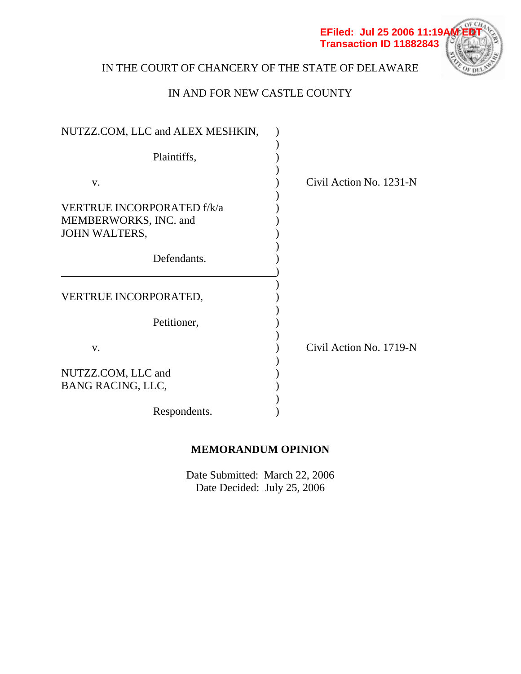

# IN THE COURT OF CHANCERY OF THE STATE OF DELAWARE

## IN AND FOR NEW CASTLE COUNTY

| NUTZZ.COM, LLC and ALEX MESHKIN,                           |                         |
|------------------------------------------------------------|-------------------------|
| Plaintiffs,                                                |                         |
|                                                            |                         |
| $V_{\bullet}$                                              | Civil Action No. 1231-N |
| <b>VERTRUE INCORPORATED f/k/a</b><br>MEMBERWORKS, INC. and |                         |
| JOHN WALTERS,                                              |                         |
| Defendants.                                                |                         |
| VERTRUE INCORPORATED,                                      |                         |
| Petitioner,                                                |                         |
| $V_{\star}$                                                | Civil Action No. 1719-N |
| NUTZZ.COM, LLC and<br><b>BANG RACING, LLC,</b>             |                         |
| Respondents.                                               |                         |

## **MEMORANDUM OPINION**

Date Submitted: March 22, 2006 Date Decided: July 25, 2006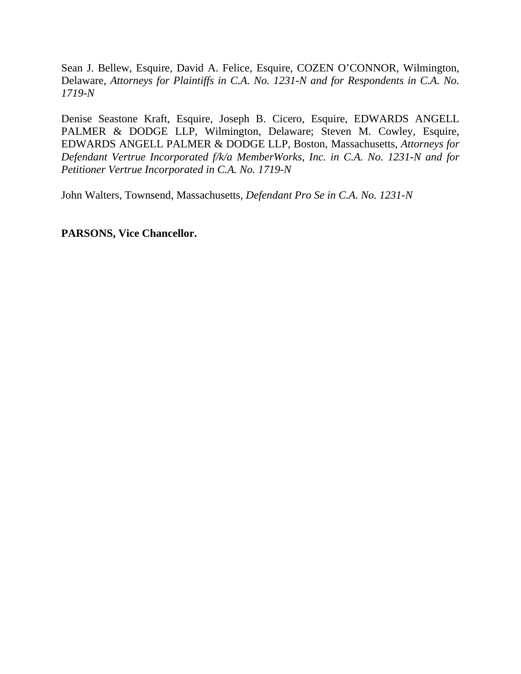Sean J. Bellew, Esquire, David A. Felice, Esquire, COZEN O'CONNOR, Wilmington, Delaware, *Attorneys for Plaintiffs in C.A. No. 1231-N and for Respondents in C.A. No. 1719-N* 

Denise Seastone Kraft, Esquire, Joseph B. Cicero, Esquire, EDWARDS ANGELL PALMER & DODGE LLP, Wilmington, Delaware; Steven M. Cowley, Esquire, EDWARDS ANGELL PALMER & DODGE LLP, Boston, Massachusetts, *Attorneys for Defendant Vertrue Incorporated f/k/a MemberWorks, Inc. in C.A. No. 1231-N and for Petitioner Vertrue Incorporated in C.A. No. 1719-N* 

John Walters, Townsend, Massachusetts, *Defendant Pro Se in C.A. No. 1231-N* 

**PARSONS, Vice Chancellor.**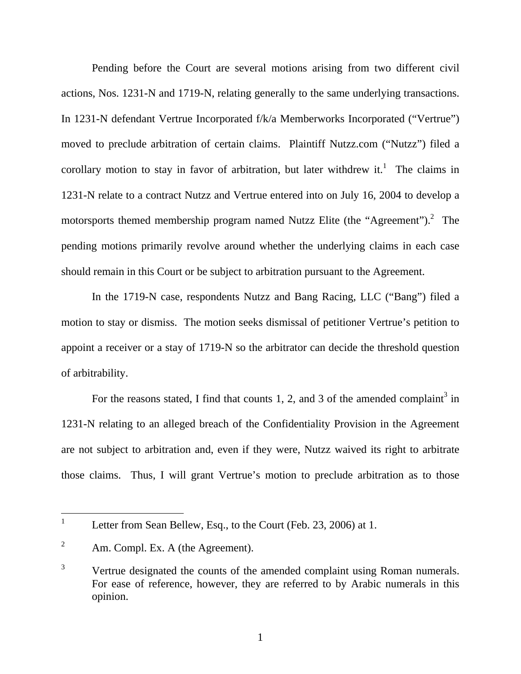Pending before the Court are several motions arising from two different civil actions, Nos. 1231-N and 1719-N, relating generally to the same underlying transactions. In 1231-N defendant Vertrue Incorporated f/k/a Memberworks Incorporated ("Vertrue") moved to preclude arbitration of certain claims. Plaintiff Nutzz.com ("Nutzz") filed a corollary motion to stay in favor of arbitration, but later withdrew it.<sup>1</sup> The claims in 1231-N relate to a contract Nutzz and Vertrue entered into on July 16, 2004 to develop a motorsports themed membership program named Nutzz Elite (the "Agreement").<sup>2</sup> The pending motions primarily revolve around whether the underlying claims in each case should remain in this Court or be subject to arbitration pursuant to the Agreement.

In the 1719-N case, respondents Nutzz and Bang Racing, LLC ("Bang") filed a motion to stay or dismiss. The motion seeks dismissal of petitioner Vertrue's petition to appoint a receiver or a stay of 1719-N so the arbitrator can decide the threshold question of arbitrability.

For the reasons stated, I find that counts 1, 2, and 3 of the amended complaint<sup>3</sup> in 1231-N relating to an alleged breach of the Confidentiality Provision in the Agreement are not subject to arbitration and, even if they were, Nutzz waived its right to arbitrate those claims. Thus, I will grant Vertrue's motion to preclude arbitration as to those

 $\overline{a}$ 

<sup>1</sup> Letter from Sean Bellew, Esq., to the Court (Feb. 23, 2006) at 1.

<sup>2</sup> Am. Compl. Ex. A (the Agreement).

<sup>3</sup> Vertrue designated the counts of the amended complaint using Roman numerals. For ease of reference, however, they are referred to by Arabic numerals in this opinion.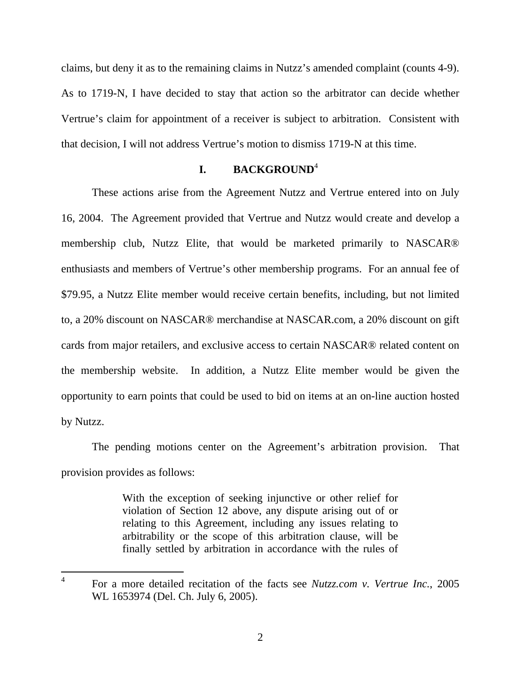claims, but deny it as to the remaining claims in Nutzz's amended complaint (counts 4-9). As to 1719-N, I have decided to stay that action so the arbitrator can decide whether Vertrue's claim for appointment of a receiver is subject to arbitration. Consistent with that decision, I will not address Vertrue's motion to dismiss 1719-N at this time.

## **I. BACKGROUND**<sup>4</sup>

These actions arise from the Agreement Nutzz and Vertrue entered into on July 16, 2004. The Agreement provided that Vertrue and Nutzz would create and develop a membership club, Nutzz Elite, that would be marketed primarily to NASCAR® enthusiasts and members of Vertrue's other membership programs. For an annual fee of \$79.95, a Nutzz Elite member would receive certain benefits, including, but not limited to, a 20% discount on NASCAR® merchandise at NASCAR.com, a 20% discount on gift cards from major retailers, and exclusive access to certain NASCAR® related content on the membership website. In addition, a Nutzz Elite member would be given the opportunity to earn points that could be used to bid on items at an on-line auction hosted by Nutzz.

The pending motions center on the Agreement's arbitration provision. That provision provides as follows:

> With the exception of seeking injunctive or other relief for violation of Section 12 above, any dispute arising out of or relating to this Agreement, including any issues relating to arbitrability or the scope of this arbitration clause, will be finally settled by arbitration in accordance with the rules of

<sup>4</sup> For a more detailed recitation of the facts see *Nutzz.com v. Vertrue Inc.*, 2005 WL 1653974 (Del. Ch. July 6, 2005).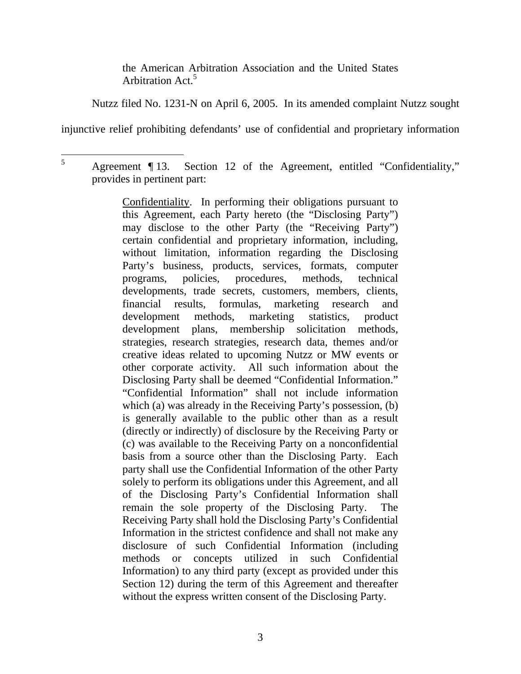the American Arbitration Association and the United States Arbitration Act.<sup>5</sup>

Nutzz filed No. 1231-N on April 6, 2005. In its amended complaint Nutzz sought

injunctive relief prohibiting defendants' use of confidential and proprietary information

Confidentiality. In performing their obligations pursuant to this Agreement, each Party hereto (the "Disclosing Party") may disclose to the other Party (the "Receiving Party") certain confidential and proprietary information, including, without limitation, information regarding the Disclosing Party's business, products, services, formats, computer programs, policies, procedures, methods, technical developments, trade secrets, customers, members, clients, financial results, formulas, marketing research and development methods, marketing statistics, product development plans, membership solicitation methods, strategies, research strategies, research data, themes and/or creative ideas related to upcoming Nutzz or MW events or other corporate activity. All such information about the Disclosing Party shall be deemed "Confidential Information." "Confidential Information" shall not include information which (a) was already in the Receiving Party's possession, (b) is generally available to the public other than as a result (directly or indirectly) of disclosure by the Receiving Party or (c) was available to the Receiving Party on a nonconfidential basis from a source other than the Disclosing Party. Each party shall use the Confidential Information of the other Party solely to perform its obligations under this Agreement, and all of the Disclosing Party's Confidential Information shall remain the sole property of the Disclosing Party. The Receiving Party shall hold the Disclosing Party's Confidential Information in the strictest confidence and shall not make any disclosure of such Confidential Information (including methods or concepts utilized in such Confidential Information) to any third party (except as provided under this Section 12) during the term of this Agreement and thereafter without the express written consent of the Disclosing Party.

 $\overline{a}$ 5 Agreement ¶ 13. Section 12 of the Agreement, entitled "Confidentiality," provides in pertinent part: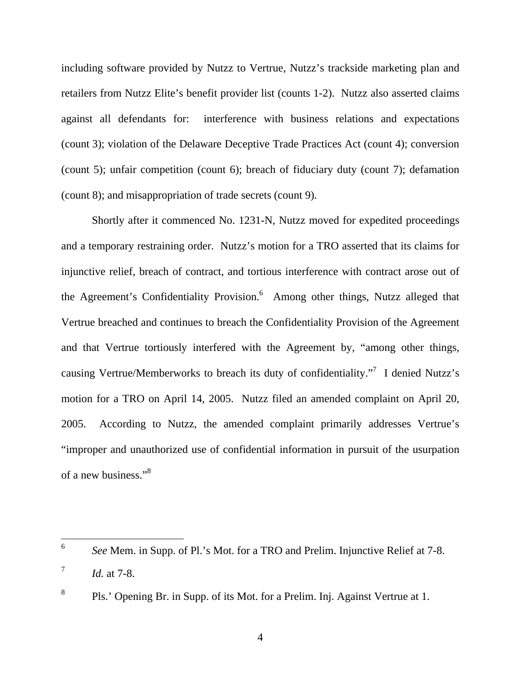including software provided by Nutzz to Vertrue, Nutzz's trackside marketing plan and retailers from Nutzz Elite's benefit provider list (counts 1-2). Nutzz also asserted claims against all defendants for: interference with business relations and expectations (count 3); violation of the Delaware Deceptive Trade Practices Act (count 4); conversion (count 5); unfair competition (count 6); breach of fiduciary duty (count 7); defamation (count 8); and misappropriation of trade secrets (count 9).

Shortly after it commenced No. 1231-N, Nutzz moved for expedited proceedings and a temporary restraining order. Nutzz's motion for a TRO asserted that its claims for injunctive relief, breach of contract, and tortious interference with contract arose out of the Agreement's Confidentiality Provision.<sup>6</sup> Among other things, Nutzz alleged that Vertrue breached and continues to breach the Confidentiality Provision of the Agreement and that Vertrue tortiously interfered with the Agreement by, "among other things, causing Vertrue/Memberworks to breach its duty of confidentiality."<sup>7</sup> I denied Nutzz's motion for a TRO on April 14, 2005. Nutzz filed an amended complaint on April 20, 2005. According to Nutzz, the amended complaint primarily addresses Vertrue's "improper and unauthorized use of confidential information in pursuit of the usurpation of a new business."<sup>8</sup>

 $\overline{a}$ 

<sup>6</sup> *See* Mem. in Supp. of Pl.'s Mot. for a TRO and Prelim. Injunctive Relief at 7-8.

<sup>7</sup> *Id.* at 7-8.

<sup>8</sup> Pls.' Opening Br. in Supp. of its Mot. for a Prelim. Inj. Against Vertrue at 1.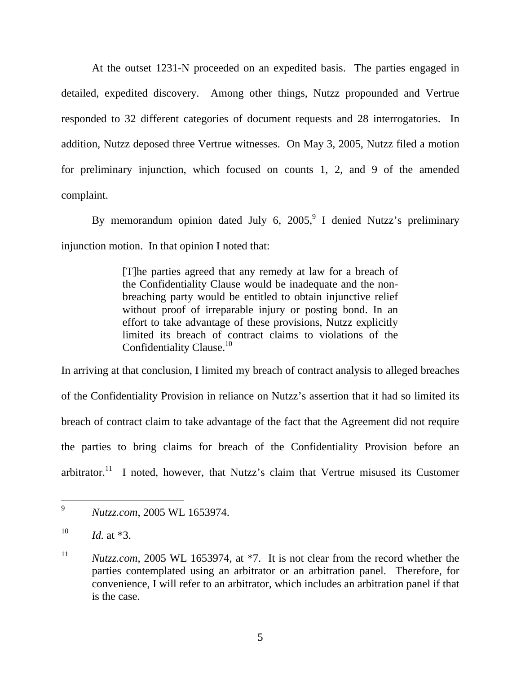At the outset 1231-N proceeded on an expedited basis. The parties engaged in detailed, expedited discovery. Among other things, Nutzz propounded and Vertrue responded to 32 different categories of document requests and 28 interrogatories. In addition, Nutzz deposed three Vertrue witnesses. On May 3, 2005, Nutzz filed a motion for preliminary injunction, which focused on counts 1, 2, and 9 of the amended complaint.

By memorandum opinion dated July 6, 2005,<sup>9</sup> I denied Nutzz's preliminary injunction motion. In that opinion I noted that:

> [T]he parties agreed that any remedy at law for a breach of the Confidentiality Clause would be inadequate and the nonbreaching party would be entitled to obtain injunctive relief without proof of irreparable injury or posting bond. In an effort to take advantage of these provisions, Nutzz explicitly limited its breach of contract claims to violations of the Confidentiality Clause.<sup>10</sup>

In arriving at that conclusion, I limited my breach of contract analysis to alleged breaches of the Confidentiality Provision in reliance on Nutzz's assertion that it had so limited its breach of contract claim to take advantage of the fact that the Agreement did not require the parties to bring claims for breach of the Confidentiality Provision before an arbitrator.<sup>11</sup> I noted, however, that Nutzz's claim that Vertrue misused its Customer

 $\overline{a}$ 

<sup>9</sup> *Nutzz.com*, 2005 WL 1653974.

 $10$  *Id.* at  $*3$ .

<sup>&</sup>lt;sup>11</sup> *Nutzz.com*, 2005 WL 1653974, at \*7. It is not clear from the record whether the parties contemplated using an arbitrator or an arbitration panel. Therefore, for convenience, I will refer to an arbitrator, which includes an arbitration panel if that is the case.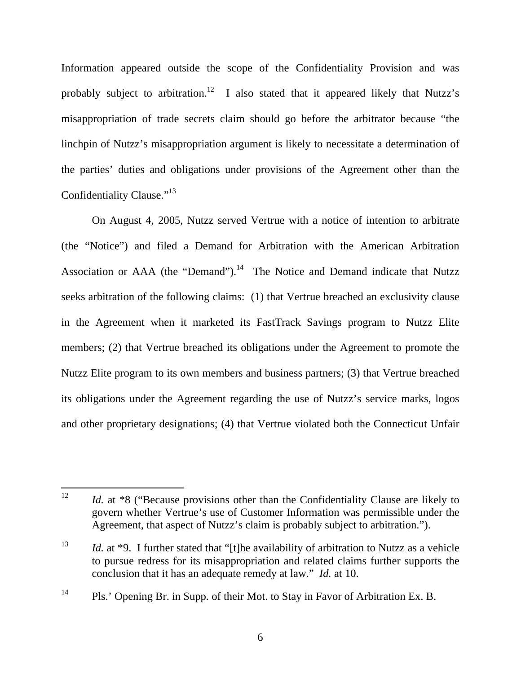Information appeared outside the scope of the Confidentiality Provision and was probably subject to arbitration.<sup>12</sup> I also stated that it appeared likely that Nutzz's misappropriation of trade secrets claim should go before the arbitrator because "the linchpin of Nutzz's misappropriation argument is likely to necessitate a determination of the parties' duties and obligations under provisions of the Agreement other than the Confidentiality Clause."<sup>13</sup>

On August 4, 2005, Nutzz served Vertrue with a notice of intention to arbitrate (the "Notice") and filed a Demand for Arbitration with the American Arbitration Association or AAA (the "Demand"). $14$  The Notice and Demand indicate that Nutzz seeks arbitration of the following claims: (1) that Vertrue breached an exclusivity clause in the Agreement when it marketed its FastTrack Savings program to Nutzz Elite members; (2) that Vertrue breached its obligations under the Agreement to promote the Nutzz Elite program to its own members and business partners; (3) that Vertrue breached its obligations under the Agreement regarding the use of Nutzz's service marks, logos and other proprietary designations; (4) that Vertrue violated both the Connecticut Unfair

<sup>12</sup> Id. at \*8 ("Because provisions other than the Confidentiality Clause are likely to govern whether Vertrue's use of Customer Information was permissible under the Agreement, that aspect of Nutzz's claim is probably subject to arbitration.").

<sup>&</sup>lt;sup>13</sup> *Id.* at \*9. I further stated that "[t]he availability of arbitration to Nutzz as a vehicle to pursue redress for its misappropriation and related claims further supports the conclusion that it has an adequate remedy at law." *Id.* at 10.

<sup>&</sup>lt;sup>14</sup> Pls.' Opening Br. in Supp. of their Mot. to Stay in Favor of Arbitration Ex. B.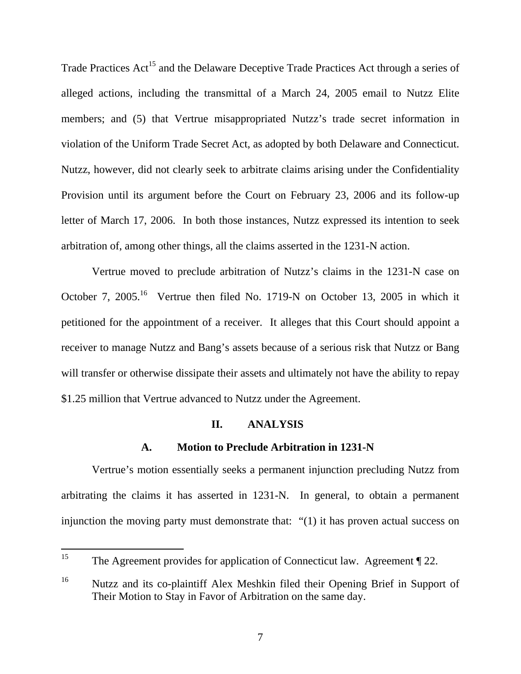Trade Practices Act<sup>15</sup> and the Delaware Deceptive Trade Practices Act through a series of alleged actions, including the transmittal of a March 24, 2005 email to Nutzz Elite members; and (5) that Vertrue misappropriated Nutzz's trade secret information in violation of the Uniform Trade Secret Act, as adopted by both Delaware and Connecticut. Nutzz, however, did not clearly seek to arbitrate claims arising under the Confidentiality Provision until its argument before the Court on February 23, 2006 and its follow-up letter of March 17, 2006. In both those instances, Nutzz expressed its intention to seek arbitration of, among other things, all the claims asserted in the 1231-N action.

Vertrue moved to preclude arbitration of Nutzz's claims in the 1231-N case on October 7, 2005.<sup>16</sup> Vertrue then filed No. 1719-N on October 13, 2005 in which it petitioned for the appointment of a receiver. It alleges that this Court should appoint a receiver to manage Nutzz and Bang's assets because of a serious risk that Nutzz or Bang will transfer or otherwise dissipate their assets and ultimately not have the ability to repay \$1.25 million that Vertrue advanced to Nutzz under the Agreement.

#### **II. ANALYSIS**

## **A. Motion to Preclude Arbitration in 1231-N**

Vertrue's motion essentially seeks a permanent injunction precluding Nutzz from arbitrating the claims it has asserted in 1231-N. In general, to obtain a permanent injunction the moving party must demonstrate that: "(1) it has proven actual success on

 $15<sup>15</sup>$ The Agreement provides for application of Connecticut law. Agreement ¶ 22.

<sup>16</sup> Nutzz and its co-plaintiff Alex Meshkin filed their Opening Brief in Support of Their Motion to Stay in Favor of Arbitration on the same day.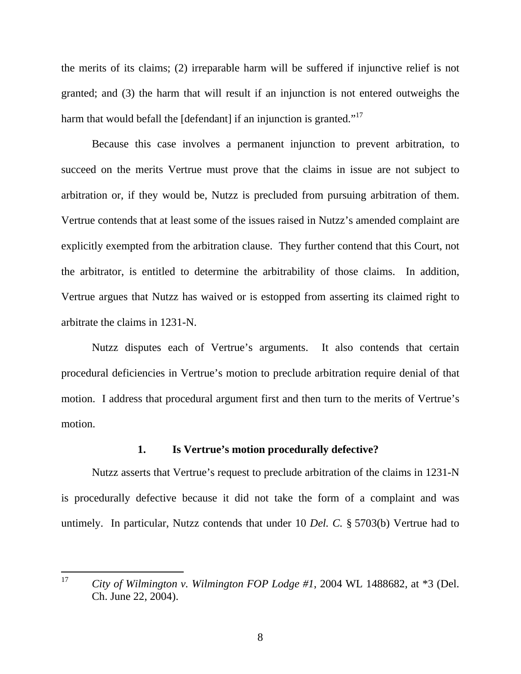the merits of its claims; (2) irreparable harm will be suffered if injunctive relief is not granted; and (3) the harm that will result if an injunction is not entered outweighs the harm that would befall the [defendant] if an injunction is granted."<sup>17</sup>

Because this case involves a permanent injunction to prevent arbitration, to succeed on the merits Vertrue must prove that the claims in issue are not subject to arbitration or, if they would be, Nutzz is precluded from pursuing arbitration of them. Vertrue contends that at least some of the issues raised in Nutzz's amended complaint are explicitly exempted from the arbitration clause. They further contend that this Court, not the arbitrator, is entitled to determine the arbitrability of those claims. In addition, Vertrue argues that Nutzz has waived or is estopped from asserting its claimed right to arbitrate the claims in 1231-N.

Nutzz disputes each of Vertrue's arguments. It also contends that certain procedural deficiencies in Vertrue's motion to preclude arbitration require denial of that motion. I address that procedural argument first and then turn to the merits of Vertrue's motion.

## **1. Is Vertrue's motion procedurally defective?**

Nutzz asserts that Vertrue's request to preclude arbitration of the claims in 1231-N is procedurally defective because it did not take the form of a complaint and was untimely. In particular, Nutzz contends that under 10 *Del. C.* § 5703(b) Vertrue had to

<sup>17</sup> 17 *City of Wilmington v. Wilmington FOP Lodge #1*, 2004 WL 1488682, at \*3 (Del. Ch. June 22, 2004).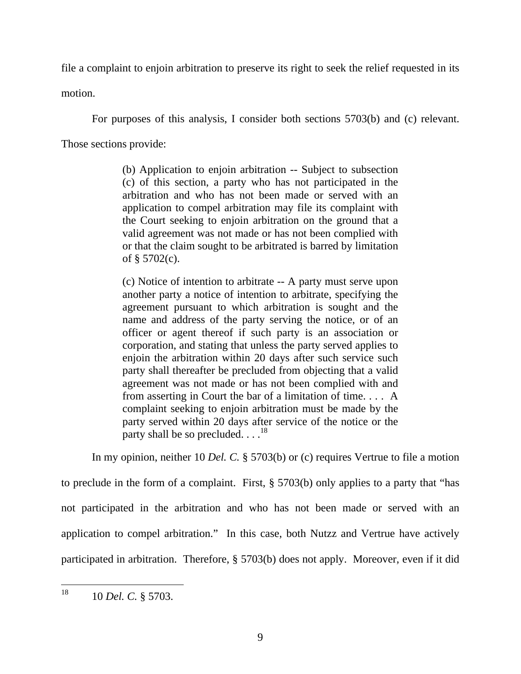file a complaint to enjoin arbitration to preserve its right to seek the relief requested in its

motion.

For purposes of this analysis, I consider both sections 5703(b) and (c) relevant.

Those sections provide:

(b) Application to enjoin arbitration -- Subject to subsection (c) of this section, a party who has not participated in the arbitration and who has not been made or served with an application to compel arbitration may file its complaint with the Court seeking to enjoin arbitration on the ground that a valid agreement was not made or has not been complied with or that the claim sought to be arbitrated is barred by limitation of § 5702(c).

(c) Notice of intention to arbitrate -- A party must serve upon another party a notice of intention to arbitrate, specifying the agreement pursuant to which arbitration is sought and the name and address of the party serving the notice, or of an officer or agent thereof if such party is an association or corporation, and stating that unless the party served applies to enjoin the arbitration within 20 days after such service such party shall thereafter be precluded from objecting that a valid agreement was not made or has not been complied with and from asserting in Court the bar of a limitation of time. . . . A complaint seeking to enjoin arbitration must be made by the party served within 20 days after service of the notice or the party shall be so precluded.  $\ldots$ <sup>18</sup>

 In my opinion, neither 10 *Del. C.* § 5703(b) or (c) requires Vertrue to file a motion to preclude in the form of a complaint. First, § 5703(b) only applies to a party that "has not participated in the arbitration and who has not been made or served with an application to compel arbitration." In this case, both Nutzz and Vertrue have actively participated in arbitration. Therefore, § 5703(b) does not apply. Moreover, even if it did

<sup>18</sup> 18 10 *Del. C.* § 5703.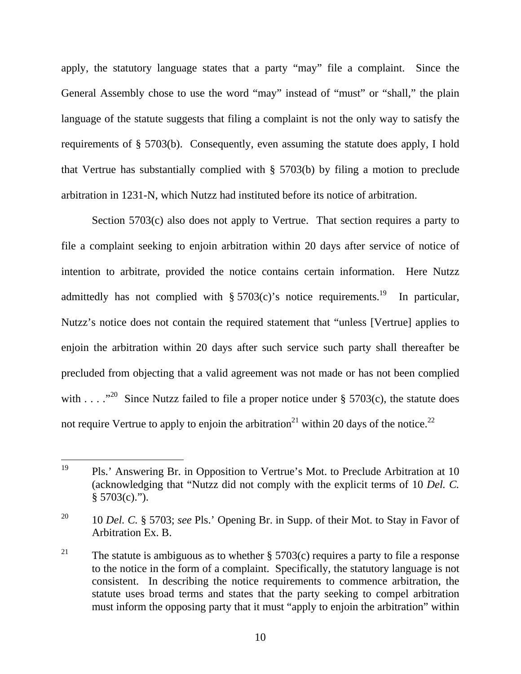apply, the statutory language states that a party "may" file a complaint. Since the General Assembly chose to use the word "may" instead of "must" or "shall," the plain language of the statute suggests that filing a complaint is not the only way to satisfy the requirements of § 5703(b). Consequently, even assuming the statute does apply, I hold that Vertrue has substantially complied with § 5703(b) by filing a motion to preclude arbitration in 1231-N, which Nutzz had instituted before its notice of arbitration.

Section 5703(c) also does not apply to Vertrue. That section requires a party to file a complaint seeking to enjoin arbitration within 20 days after service of notice of intention to arbitrate, provided the notice contains certain information. Here Nutzz admittedly has not complied with §  $5703(c)$ 's notice requirements.<sup>19</sup> In particular, Nutzz's notice does not contain the required statement that "unless [Vertrue] applies to enjoin the arbitration within 20 days after such service such party shall thereafter be precluded from objecting that a valid agreement was not made or has not been complied with . . . . "<sup>20</sup> Since Nutzz failed to file a proper notice under § 5703(c), the statute does not require Vertrue to apply to enjoin the arbitration<sup>21</sup> within 20 days of the notice.<sup>22</sup>

<sup>19</sup> Pls.' Answering Br. in Opposition to Vertrue's Mot. to Preclude Arbitration at 10 (acknowledging that "Nutzz did not comply with the explicit terms of 10 *Del. C.*  $§ 5703(c)."$ 

<sup>20 10</sup> *Del. C.* § 5703; *see* Pls.' Opening Br. in Supp. of their Mot. to Stay in Favor of Arbitration Ex. B.

<sup>&</sup>lt;sup>21</sup> The statute is ambiguous as to whether § 5703(c) requires a party to file a response to the notice in the form of a complaint. Specifically, the statutory language is not consistent. In describing the notice requirements to commence arbitration, the statute uses broad terms and states that the party seeking to compel arbitration must inform the opposing party that it must "apply to enjoin the arbitration" within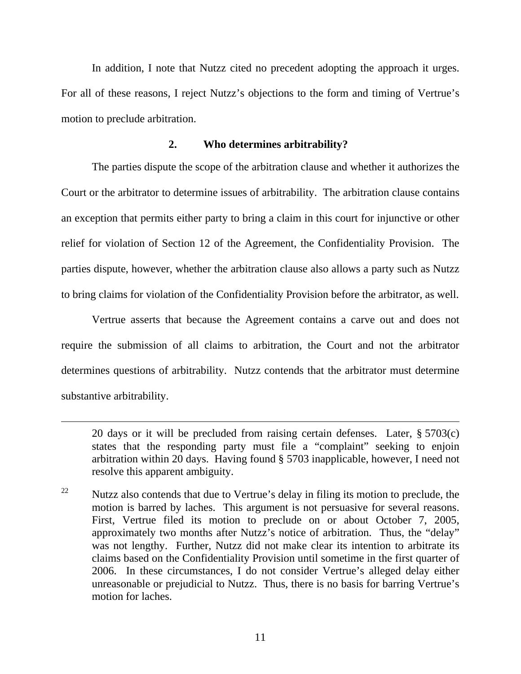In addition, I note that Nutzz cited no precedent adopting the approach it urges. For all of these reasons, I reject Nutzz's objections to the form and timing of Vertrue's motion to preclude arbitration.

## **2. Who determines arbitrability?**

The parties dispute the scope of the arbitration clause and whether it authorizes the Court or the arbitrator to determine issues of arbitrability. The arbitration clause contains an exception that permits either party to bring a claim in this court for injunctive or other relief for violation of Section 12 of the Agreement, the Confidentiality Provision. The parties dispute, however, whether the arbitration clause also allows a party such as Nutzz to bring claims for violation of the Confidentiality Provision before the arbitrator, as well.

Vertrue asserts that because the Agreement contains a carve out and does not require the submission of all claims to arbitration, the Court and not the arbitrator determines questions of arbitrability. Nutzz contends that the arbitrator must determine substantive arbitrability.

 $\overline{a}$ 

<sup>22</sup> Nutzz also contends that due to Vertrue's delay in filing its motion to preclude, the motion is barred by laches. This argument is not persuasive for several reasons. First, Vertrue filed its motion to preclude on or about October 7, 2005, approximately two months after Nutzz's notice of arbitration. Thus, the "delay" was not lengthy. Further, Nutzz did not make clear its intention to arbitrate its claims based on the Confidentiality Provision until sometime in the first quarter of 2006. In these circumstances, I do not consider Vertrue's alleged delay either unreasonable or prejudicial to Nutzz. Thus, there is no basis for barring Vertrue's motion for laches.

<sup>20</sup> days or it will be precluded from raising certain defenses. Later, § 5703(c) states that the responding party must file a "complaint" seeking to enjoin arbitration within 20 days. Having found § 5703 inapplicable, however, I need not resolve this apparent ambiguity.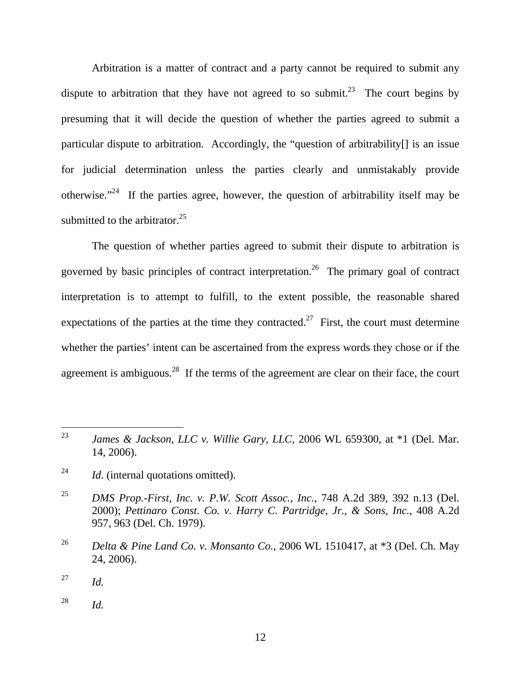Arbitration is a matter of contract and a party cannot be required to submit any dispute to arbitration that they have not agreed to so submit.<sup>23</sup> The court begins by presuming that it will decide the question of whether the parties agreed to submit a particular dispute to arbitration. Accordingly, the "question of arbitrability[] is an issue for judicial determination unless the parties clearly and unmistakably provide otherwise."<sup>24</sup> If the parties agree, however, the question of arbitrability itself may be submitted to the arbitrator. $25$ 

The question of whether parties agreed to submit their dispute to arbitration is governed by basic principles of contract interpretation.<sup>26</sup> The primary goal of contract interpretation is to attempt to fulfill, to the extent possible, the reasonable shared expectations of the parties at the time they contracted.<sup>27</sup> First, the court must determine whether the parties' intent can be ascertained from the express words they chose or if the agreement is ambiguous.<sup>28</sup> If the terms of the agreement are clear on their face, the court

<sup>23</sup> James & Jackson, LLC v. Willie Gary, LLC, 2006 WL 659300, at \*1 (Del. Mar. 14, 2006).

<sup>&</sup>lt;sup>24</sup> *Id.* (internal quotations omitted).

<sup>25</sup> *DMS Prop.-First, Inc. v. P.W. Scott Assoc., Inc.*, 748 A.2d 389, 392 n.13 (Del. 2000); *Pettinaro Const. Co. v. Harry C. Partridge, Jr., & Sons, Inc.*, 408 A.2d 957, 963 (Del. Ch. 1979).

<sup>26</sup> *Delta & Pine Land Co. v. Monsanto Co.*, 2006 WL 1510417, at \*3 (Del. Ch. May 24, 2006).

<sup>27</sup> *Id.*

<sup>28</sup> *Id.*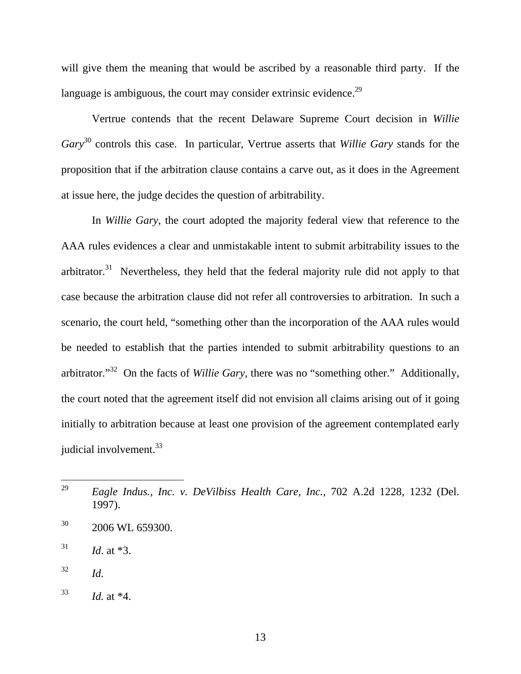will give them the meaning that would be ascribed by a reasonable third party. If the language is ambiguous, the court may consider extrinsic evidence.<sup>29</sup>

Vertrue contends that the recent Delaware Supreme Court decision in *Willie Gary*30 controls this case. In particular, Vertrue asserts that *Willie Gary* stands for the proposition that if the arbitration clause contains a carve out, as it does in the Agreement at issue here, the judge decides the question of arbitrability.

In *Willie Gary*, the court adopted the majority federal view that reference to the AAA rules evidences a clear and unmistakable intent to submit arbitrability issues to the arbitrator. $31$  Nevertheless, they held that the federal majority rule did not apply to that case because the arbitration clause did not refer all controversies to arbitration. In such a scenario, the court held, "something other than the incorporation of the AAA rules would be needed to establish that the parties intended to submit arbitrability questions to an arbitrator."32 On the facts of *Willie Gary*, there was no "something other." Additionally, the court noted that the agreement itself did not envision all claims arising out of it going initially to arbitration because at least one provision of the agreement contemplated early judicial involvement.<sup>33</sup>

<sup>29</sup> 29 *Eagle Indus., Inc. v. DeVilbiss Health Care, Inc.*, 702 A.2d 1228, 1232 (Del. 1997).

<sup>&</sup>lt;sup>30</sup> 2006 WL 659300.

 $31$  *Id.* at \*3.

 $32$  *Id.* 

 $^{33}$  *Id.* at \*4.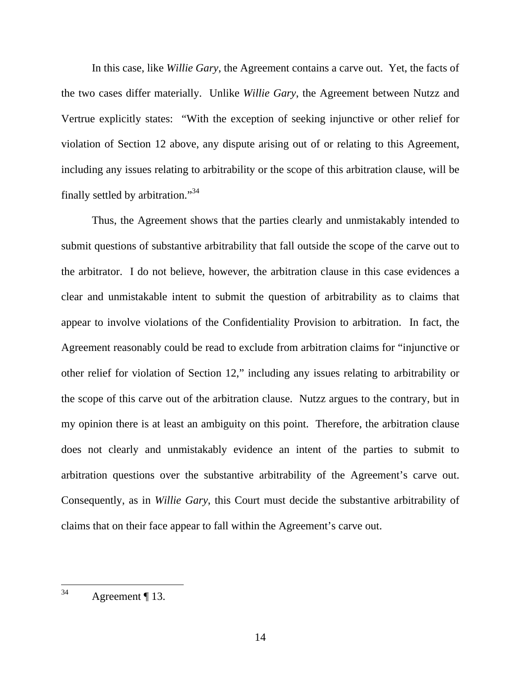In this case, like *Willie Gary*, the Agreement contains a carve out. Yet, the facts of the two cases differ materially. Unlike *Willie Gary*, the Agreement between Nutzz and Vertrue explicitly states: "With the exception of seeking injunctive or other relief for violation of Section 12 above, any dispute arising out of or relating to this Agreement, including any issues relating to arbitrability or the scope of this arbitration clause, will be finally settled by arbitration."<sup>34</sup>

Thus, the Agreement shows that the parties clearly and unmistakably intended to submit questions of substantive arbitrability that fall outside the scope of the carve out to the arbitrator. I do not believe, however, the arbitration clause in this case evidences a clear and unmistakable intent to submit the question of arbitrability as to claims that appear to involve violations of the Confidentiality Provision to arbitration. In fact, the Agreement reasonably could be read to exclude from arbitration claims for "injunctive or other relief for violation of Section 12," including any issues relating to arbitrability or the scope of this carve out of the arbitration clause. Nutzz argues to the contrary, but in my opinion there is at least an ambiguity on this point. Therefore, the arbitration clause does not clearly and unmistakably evidence an intent of the parties to submit to arbitration questions over the substantive arbitrability of the Agreement's carve out. Consequently, as in *Willie Gary*, this Court must decide the substantive arbitrability of claims that on their face appear to fall within the Agreement's carve out.

 $34$ Agreement ¶ 13.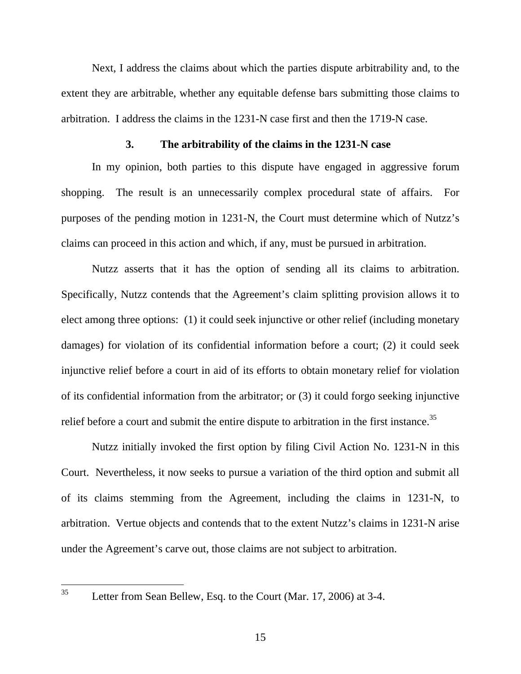Next, I address the claims about which the parties dispute arbitrability and, to the extent they are arbitrable, whether any equitable defense bars submitting those claims to arbitration. I address the claims in the 1231-N case first and then the 1719-N case.

### **3. The arbitrability of the claims in the 1231-N case**

In my opinion, both parties to this dispute have engaged in aggressive forum shopping. The result is an unnecessarily complex procedural state of affairs. For purposes of the pending motion in 1231-N, the Court must determine which of Nutzz's claims can proceed in this action and which, if any, must be pursued in arbitration.

Nutzz asserts that it has the option of sending all its claims to arbitration. Specifically, Nutzz contends that the Agreement's claim splitting provision allows it to elect among three options: (1) it could seek injunctive or other relief (including monetary damages) for violation of its confidential information before a court; (2) it could seek injunctive relief before a court in aid of its efforts to obtain monetary relief for violation of its confidential information from the arbitrator; or (3) it could forgo seeking injunctive relief before a court and submit the entire dispute to arbitration in the first instance.<sup>35</sup>

Nutzz initially invoked the first option by filing Civil Action No. 1231-N in this Court. Nevertheless, it now seeks to pursue a variation of the third option and submit all of its claims stemming from the Agreement, including the claims in 1231-N, to arbitration. Vertue objects and contends that to the extent Nutzz's claims in 1231-N arise under the Agreement's carve out, those claims are not subject to arbitration.

Letter from Sean Bellew, Esq. to the Court (Mar. 17, 2006) at 3-4.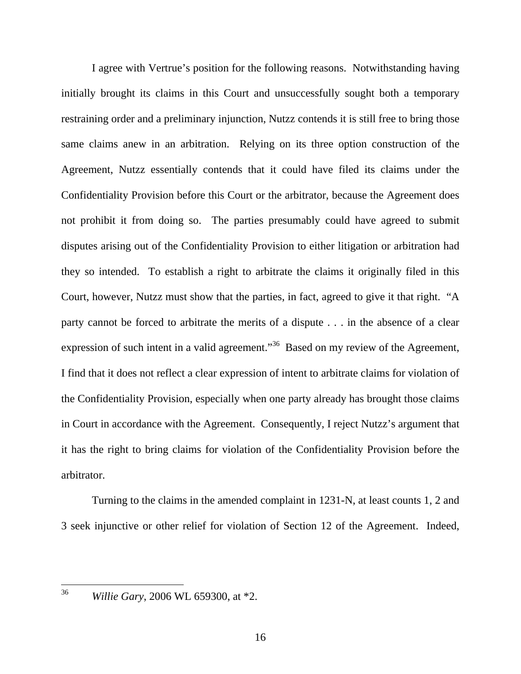I agree with Vertrue's position for the following reasons. Notwithstanding having initially brought its claims in this Court and unsuccessfully sought both a temporary restraining order and a preliminary injunction, Nutzz contends it is still free to bring those same claims anew in an arbitration. Relying on its three option construction of the Agreement, Nutzz essentially contends that it could have filed its claims under the Confidentiality Provision before this Court or the arbitrator, because the Agreement does not prohibit it from doing so. The parties presumably could have agreed to submit disputes arising out of the Confidentiality Provision to either litigation or arbitration had they so intended. To establish a right to arbitrate the claims it originally filed in this Court, however, Nutzz must show that the parties, in fact, agreed to give it that right. "A party cannot be forced to arbitrate the merits of a dispute . . . in the absence of a clear expression of such intent in a valid agreement."<sup>36</sup> Based on my review of the Agreement, I find that it does not reflect a clear expression of intent to arbitrate claims for violation of the Confidentiality Provision, especially when one party already has brought those claims in Court in accordance with the Agreement. Consequently, I reject Nutzz's argument that it has the right to bring claims for violation of the Confidentiality Provision before the arbitrator.

Turning to the claims in the amended complaint in 1231-N, at least counts 1, 2 and 3 seek injunctive or other relief for violation of Section 12 of the Agreement. Indeed,

<sup>36</sup> *Willie Gary*, 2006 WL 659300, at \*2.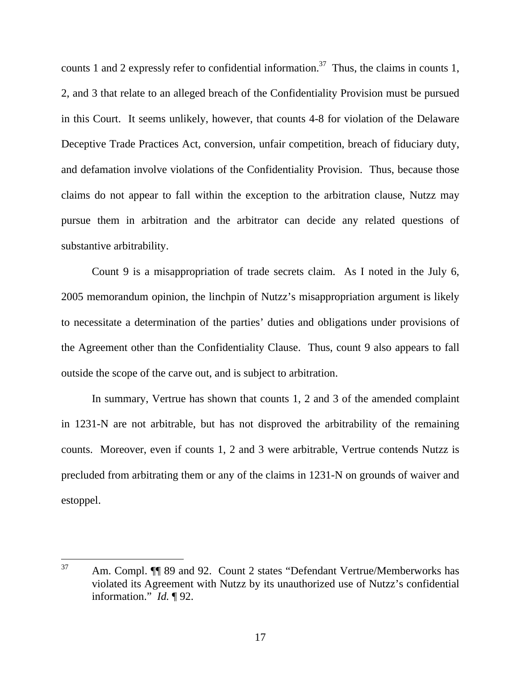counts 1 and 2 expressly refer to confidential information.<sup>37</sup> Thus, the claims in counts 1, 2, and 3 that relate to an alleged breach of the Confidentiality Provision must be pursued in this Court. It seems unlikely, however, that counts 4-8 for violation of the Delaware Deceptive Trade Practices Act, conversion, unfair competition, breach of fiduciary duty, and defamation involve violations of the Confidentiality Provision. Thus, because those claims do not appear to fall within the exception to the arbitration clause, Nutzz may pursue them in arbitration and the arbitrator can decide any related questions of substantive arbitrability.

Count 9 is a misappropriation of trade secrets claim. As I noted in the July 6, 2005 memorandum opinion, the linchpin of Nutzz's misappropriation argument is likely to necessitate a determination of the parties' duties and obligations under provisions of the Agreement other than the Confidentiality Clause. Thus, count 9 also appears to fall outside the scope of the carve out, and is subject to arbitration.

In summary, Vertrue has shown that counts 1, 2 and 3 of the amended complaint in 1231-N are not arbitrable, but has not disproved the arbitrability of the remaining counts. Moreover, even if counts 1, 2 and 3 were arbitrable, Vertrue contends Nutzz is precluded from arbitrating them or any of the claims in 1231-N on grounds of waiver and estoppel.

<sup>37</sup> Am. Compl.  $\P$  89 and 92. Count 2 states "Defendant Vertrue/Memberworks has violated its Agreement with Nutzz by its unauthorized use of Nutzz's confidential information." *Id.* ¶ 92.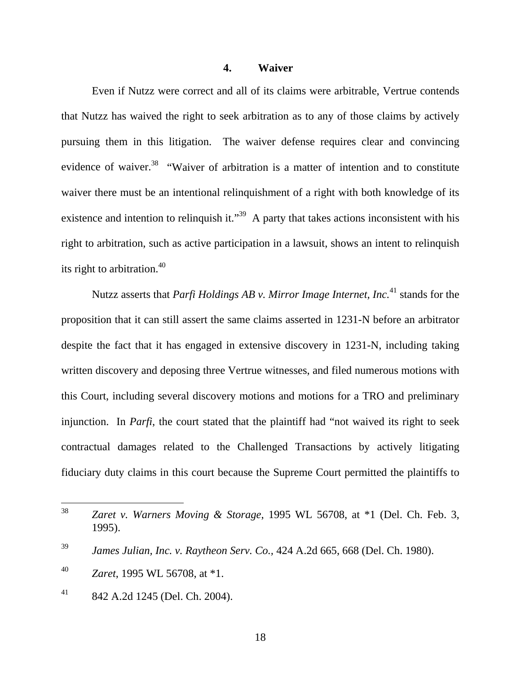## **4. Waiver**

Even if Nutzz were correct and all of its claims were arbitrable, Vertrue contends that Nutzz has waived the right to seek arbitration as to any of those claims by actively pursuing them in this litigation. The waiver defense requires clear and convincing evidence of waiver.<sup>38</sup> "Waiver of arbitration is a matter of intention and to constitute waiver there must be an intentional relinquishment of a right with both knowledge of its existence and intention to relinquish it."<sup>39</sup> A party that takes actions inconsistent with his right to arbitration, such as active participation in a lawsuit, shows an intent to relinquish its right to arbitration.<sup>40</sup>

Nutzz asserts that *Parfi Holdings AB v. Mirror Image Internet, Inc.*<sup>41</sup> stands for the proposition that it can still assert the same claims asserted in 1231-N before an arbitrator despite the fact that it has engaged in extensive discovery in 1231-N, including taking written discovery and deposing three Vertrue witnesses, and filed numerous motions with this Court, including several discovery motions and motions for a TRO and preliminary injunction. In *Parfi*, the court stated that the plaintiff had "not waived its right to seek contractual damages related to the Challenged Transactions by actively litigating fiduciary duty claims in this court because the Supreme Court permitted the plaintiffs to

<sup>38</sup> Zaret v. Warners Moving & Storage, 1995 WL 56708, at \*1 (Del. Ch. Feb. 3, 1995).

<sup>39</sup> *James Julian, Inc. v. Raytheon Serv. Co.,* 424 A.2d 665, 668 (Del. Ch. 1980).

<sup>40</sup> *Zaret*, 1995 WL 56708, at \*1.

 $^{41}$  842 A.2d 1245 (Del. Ch. 2004).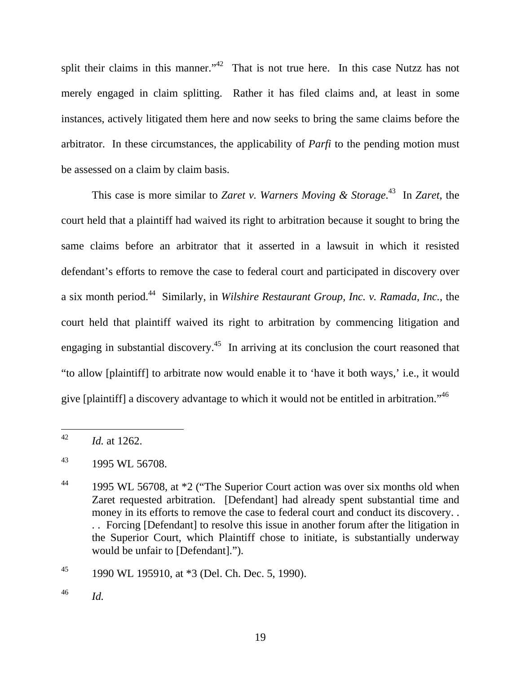split their claims in this manner."<sup>42</sup> That is not true here. In this case Nutzz has not merely engaged in claim splitting. Rather it has filed claims and, at least in some instances, actively litigated them here and now seeks to bring the same claims before the arbitrator. In these circumstances, the applicability of *Parfi* to the pending motion must be assessed on a claim by claim basis.

This case is more similar to *Zaret v. Warners Moving & Storage*. 43 In *Zaret*, the court held that a plaintiff had waived its right to arbitration because it sought to bring the same claims before an arbitrator that it asserted in a lawsuit in which it resisted defendant's efforts to remove the case to federal court and participated in discovery over a six month period.44 Similarly, in *Wilshire Restaurant Group, Inc. v. Ramada, Inc.*, the court held that plaintiff waived its right to arbitration by commencing litigation and engaging in substantial discovery.<sup>45</sup> In arriving at its conclusion the court reasoned that "to allow [plaintiff] to arbitrate now would enable it to 'have it both ways,' i.e., it would give [plaintiff] a discovery advantage to which it would not be entitled in arbitration."46

 $\overline{a}$ 

 $^{42}$  *Id.* at 1262.

 $^{43}$  1995 WL 56708.

<sup>&</sup>lt;sup>44</sup> 1995 WL 56708, at \*2 ("The Superior Court action was over six months old when Zaret requested arbitration. [Defendant] had already spent substantial time and money in its efforts to remove the case to federal court and conduct its discovery. . . . Forcing [Defendant] to resolve this issue in another forum after the litigation in the Superior Court, which Plaintiff chose to initiate, is substantially underway would be unfair to [Defendant].").

<sup>&</sup>lt;sup>45</sup> 1990 WL 195910, at  $*3$  (Del. Ch. Dec. 5, 1990).

<sup>46</sup> *Id.*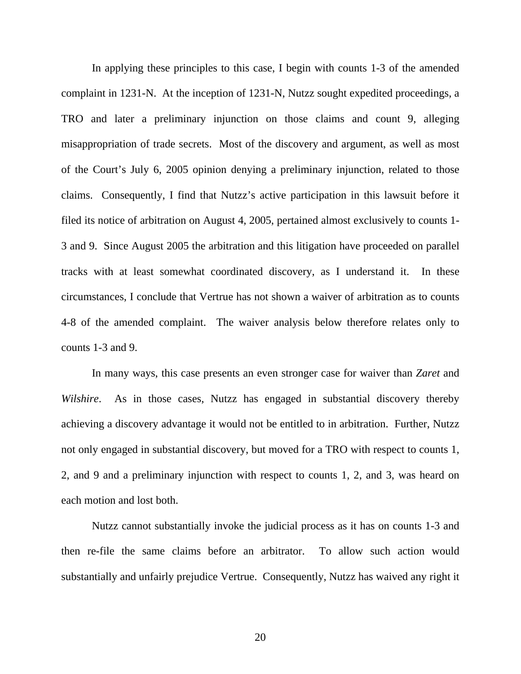In applying these principles to this case, I begin with counts 1-3 of the amended complaint in 1231-N. At the inception of 1231-N, Nutzz sought expedited proceedings, a TRO and later a preliminary injunction on those claims and count 9, alleging misappropriation of trade secrets. Most of the discovery and argument, as well as most of the Court's July 6, 2005 opinion denying a preliminary injunction, related to those claims. Consequently, I find that Nutzz's active participation in this lawsuit before it filed its notice of arbitration on August 4, 2005, pertained almost exclusively to counts 1- 3 and 9. Since August 2005 the arbitration and this litigation have proceeded on parallel tracks with at least somewhat coordinated discovery, as I understand it. In these circumstances, I conclude that Vertrue has not shown a waiver of arbitration as to counts 4-8 of the amended complaint. The waiver analysis below therefore relates only to counts 1-3 and 9.

In many ways, this case presents an even stronger case for waiver than *Zaret* and *Wilshire*. As in those cases, Nutzz has engaged in substantial discovery thereby achieving a discovery advantage it would not be entitled to in arbitration. Further, Nutzz not only engaged in substantial discovery, but moved for a TRO with respect to counts 1, 2, and 9 and a preliminary injunction with respect to counts 1, 2, and 3, was heard on each motion and lost both.

Nutzz cannot substantially invoke the judicial process as it has on counts 1-3 and then re-file the same claims before an arbitrator. To allow such action would substantially and unfairly prejudice Vertrue. Consequently, Nutzz has waived any right it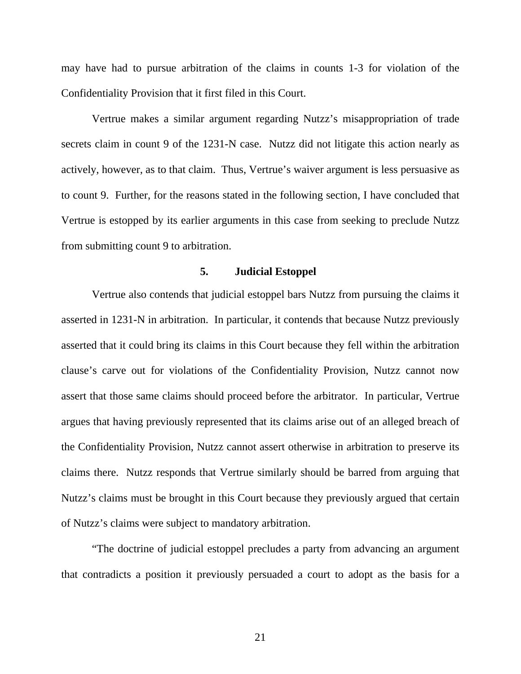may have had to pursue arbitration of the claims in counts 1-3 for violation of the Confidentiality Provision that it first filed in this Court.

Vertrue makes a similar argument regarding Nutzz's misappropriation of trade secrets claim in count 9 of the 1231-N case. Nutzz did not litigate this action nearly as actively, however, as to that claim. Thus, Vertrue's waiver argument is less persuasive as to count 9. Further, for the reasons stated in the following section, I have concluded that Vertrue is estopped by its earlier arguments in this case from seeking to preclude Nutzz from submitting count 9 to arbitration.

## **5. Judicial Estoppel**

Vertrue also contends that judicial estoppel bars Nutzz from pursuing the claims it asserted in 1231-N in arbitration. In particular, it contends that because Nutzz previously asserted that it could bring its claims in this Court because they fell within the arbitration clause's carve out for violations of the Confidentiality Provision, Nutzz cannot now assert that those same claims should proceed before the arbitrator. In particular, Vertrue argues that having previously represented that its claims arise out of an alleged breach of the Confidentiality Provision, Nutzz cannot assert otherwise in arbitration to preserve its claims there. Nutzz responds that Vertrue similarly should be barred from arguing that Nutzz's claims must be brought in this Court because they previously argued that certain of Nutzz's claims were subject to mandatory arbitration.

"The doctrine of judicial estoppel precludes a party from advancing an argument that contradicts a position it previously persuaded a court to adopt as the basis for a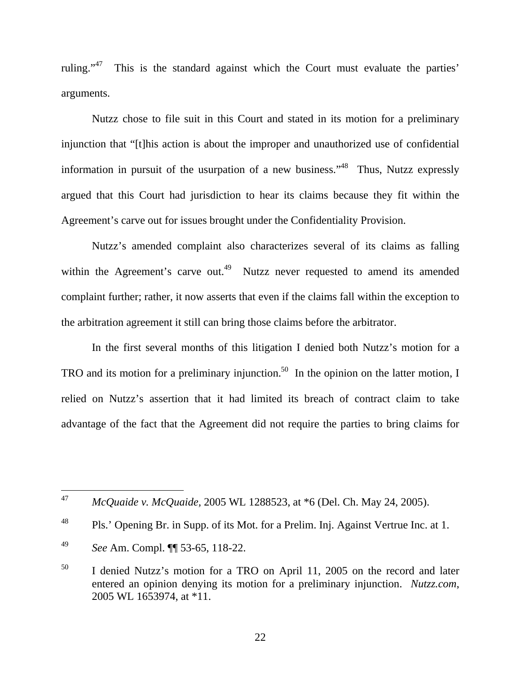ruling."47 This is the standard against which the Court must evaluate the parties' arguments.

Nutzz chose to file suit in this Court and stated in its motion for a preliminary injunction that "[t]his action is about the improper and unauthorized use of confidential information in pursuit of the usurpation of a new business."<sup>48</sup> Thus, Nutzz expressly argued that this Court had jurisdiction to hear its claims because they fit within the Agreement's carve out for issues brought under the Confidentiality Provision.

Nutzz's amended complaint also characterizes several of its claims as falling within the Agreement's carve out.<sup>49</sup> Nutzz never requested to amend its amended complaint further; rather, it now asserts that even if the claims fall within the exception to the arbitration agreement it still can bring those claims before the arbitrator.

In the first several months of this litigation I denied both Nutzz's motion for a TRO and its motion for a preliminary injunction.<sup>50</sup> In the opinion on the latter motion, I relied on Nutzz's assertion that it had limited its breach of contract claim to take advantage of the fact that the Agreement did not require the parties to bring claims for

<sup>47</sup> <sup>47</sup> *McQuaide v. McQuaide,* 2005 WL 1288523, at \*6 (Del. Ch. May 24, 2005).

<sup>&</sup>lt;sup>48</sup> Pls.' Opening Br. in Supp. of its Mot. for a Prelim. Inj. Against Vertrue Inc. at 1.

<sup>49</sup> *See* Am. Compl. ¶¶ 53-65, 118-22.

<sup>50</sup> I denied Nutzz's motion for a TRO on April 11, 2005 on the record and later entered an opinion denying its motion for a preliminary injunction. *Nutzz.com*, 2005 WL 1653974, at \*11.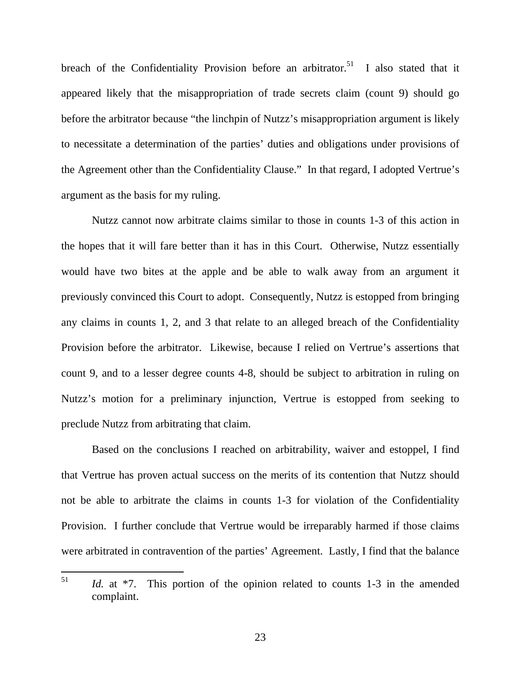breach of the Confidentiality Provision before an arbitrator.<sup>51</sup> I also stated that it appeared likely that the misappropriation of trade secrets claim (count 9) should go before the arbitrator because "the linchpin of Nutzz's misappropriation argument is likely to necessitate a determination of the parties' duties and obligations under provisions of the Agreement other than the Confidentiality Clause." In that regard, I adopted Vertrue's argument as the basis for my ruling.

Nutzz cannot now arbitrate claims similar to those in counts 1-3 of this action in the hopes that it will fare better than it has in this Court. Otherwise, Nutzz essentially would have two bites at the apple and be able to walk away from an argument it previously convinced this Court to adopt. Consequently, Nutzz is estopped from bringing any claims in counts 1, 2, and 3 that relate to an alleged breach of the Confidentiality Provision before the arbitrator. Likewise, because I relied on Vertrue's assertions that count 9, and to a lesser degree counts 4-8, should be subject to arbitration in ruling on Nutzz's motion for a preliminary injunction, Vertrue is estopped from seeking to preclude Nutzz from arbitrating that claim.

Based on the conclusions I reached on arbitrability, waiver and estoppel, I find that Vertrue has proven actual success on the merits of its contention that Nutzz should not be able to arbitrate the claims in counts 1-3 for violation of the Confidentiality Provision. I further conclude that Vertrue would be irreparably harmed if those claims were arbitrated in contravention of the parties' Agreement. Lastly, I find that the balance

<sup>51</sup> Id. at \*7. This portion of the opinion related to counts 1-3 in the amended complaint.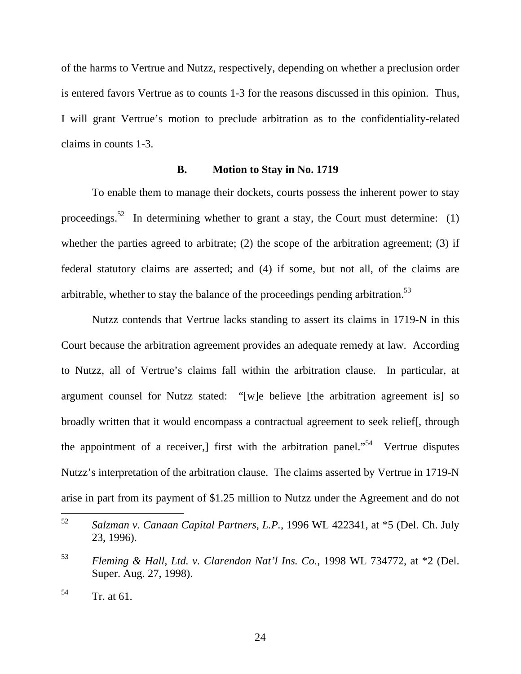of the harms to Vertrue and Nutzz, respectively, depending on whether a preclusion order is entered favors Vertrue as to counts 1-3 for the reasons discussed in this opinion. Thus, I will grant Vertrue's motion to preclude arbitration as to the confidentiality-related claims in counts 1-3.

## **B. Motion to Stay in No. 1719**

To enable them to manage their dockets, courts possess the inherent power to stay proceedings.<sup>52</sup> In determining whether to grant a stay, the Court must determine: (1) whether the parties agreed to arbitrate; (2) the scope of the arbitration agreement; (3) if federal statutory claims are asserted; and (4) if some, but not all, of the claims are arbitrable, whether to stay the balance of the proceedings pending arbitration.<sup>53</sup>

Nutzz contends that Vertrue lacks standing to assert its claims in 1719-N in this Court because the arbitration agreement provides an adequate remedy at law. According to Nutzz, all of Vertrue's claims fall within the arbitration clause. In particular, at argument counsel for Nutzz stated: "[w]e believe [the arbitration agreement is] so broadly written that it would encompass a contractual agreement to seek relief[, through the appointment of a receiver, first with the arbitration panel.<sup> $54$ </sup> Vertrue disputes Nutzz's interpretation of the arbitration clause. The claims asserted by Vertrue in 1719-N arise in part from its payment of \$1.25 million to Nutzz under the Agreement and do not

<sup>52</sup> 52 *Salzman v. Canaan Capital Partners, L.P.*, 1996 WL 422341, at \*5 (Del. Ch. July 23, 1996).

<sup>53</sup> *Fleming & Hall, Ltd. v. Clarendon Nat'l Ins. Co.*, 1998 WL 734772, at \*2 (Del. Super. Aug. 27, 1998).

 $54$  Tr. at 61.